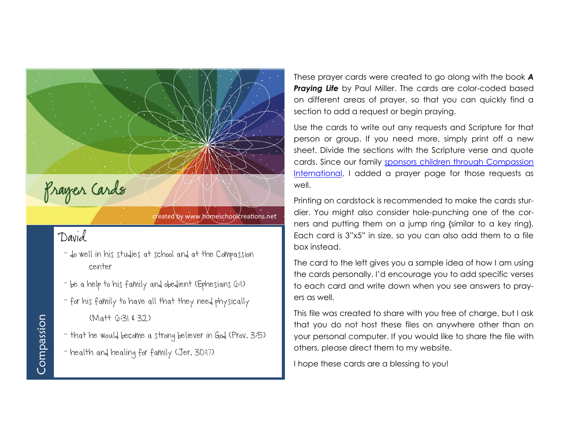

## created by www.homeschoolcreations.net

## David

- do well in his studies at school and at the Compassion center
- be a help to his family and obedient (Ephesians G:1)
- for his family to have all that they need physically (Matt 6:31 & 32)
- that he would become a strong believer in God (Prov. 3:5)
- health and healing for family (Jer. 30:17)

These prayer cards were created to go along with the book *A*  **Praying Life** by Paul Miller. The cards are color-coded based on different areas of prayer, so that you can quickly find a section to add a request or begin praying.

Use the cards to write out any requests and Scripture for that person or group. If you need more, simply print off a new sheet. Divide the sections with the Scripture verse and quote cards. Since our family [sponsors children through Compassion](http://www.compassion.com/sponsor_a_child/default.htm?referer=124053)  [International,](http://www.compassion.com/sponsor_a_child/default.htm?referer=124053) I added a prayer page for those requests as well.

Printing on cardstock is recommended to make the cards sturdier. You might also consider hole-punching one of the corners and putting them on a jump ring {similar to a key ring}. Each card is 3"x5" in size, so you can also add them to a file box instead.

The card to the left gives you a sample idea of how I am using the cards personally. I'd encourage you to add specific verses to each card and write down when you see answers to prayers as well.

This file was created to share with you free of charge, but I ask that you do not host these files on anywhere other than on your personal computer. If you would like to share the file with others, please direct them to my website.

I hope these cards are a blessing to you!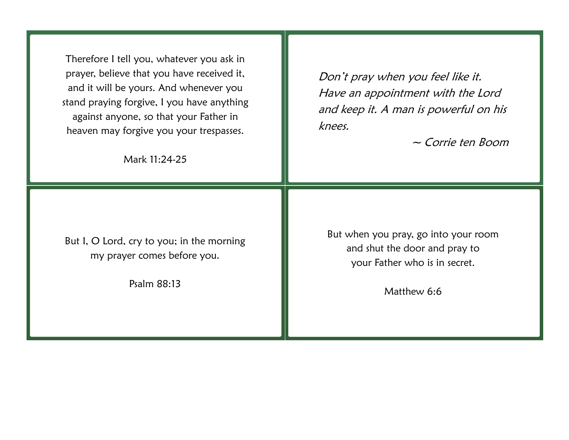Therefore I tell you, whatever you ask in prayer, believe that you have received it, and it will be yours. And whenever you stand praying forgive, I you have anything against anyone, so that your Father in heaven may forgive you your trespasses.

Mark 11:24-25

Don't pray when you feel like it. Have an appointment with the Lord and keep it. A man is powerful on his knees.

~ Corrie ten Boom

But I, O Lord, cry to you; in the morning my prayer comes before you.

Psalm 88:13

But when you pray, go into your room and shut the door and pray to your Father who is in secret.

Matthew 6:6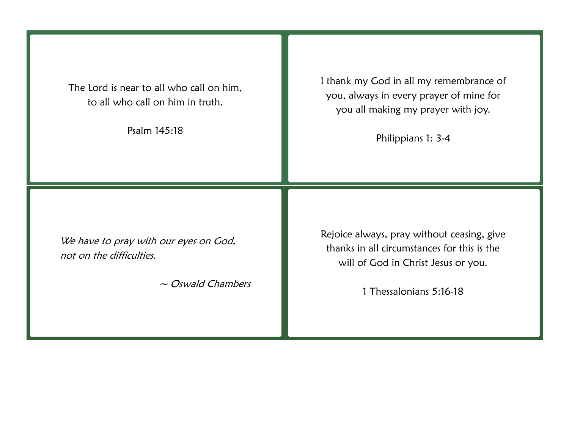The Lord is near to all who call on him, to all who call on him in truth.

Psalm 145:18

I thank my God in all my remembrance of you, always in every prayer of mine for you all making my prayer with joy.

Philippians 1: 3-4

We have to pray with our eyes on God, not on the difficulties.

~ Oswald Chambers

Rejoice always, pray without ceasing, give thanks in all circumstances for this is the will of God in Christ Jesus or you.

1 Thessalonians 5:16-18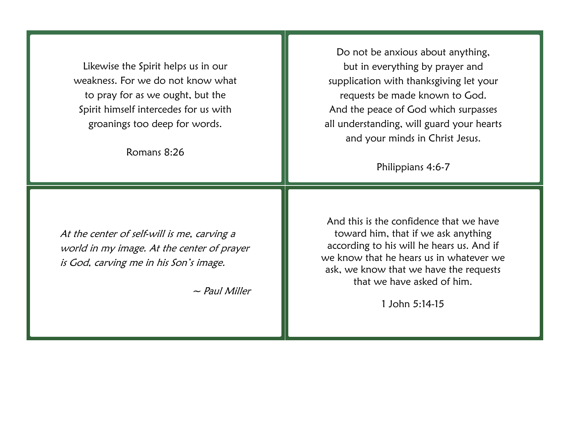Likewise the Spirit helps us in our weakness. For we do not know what to pray for as we ought, but the Spirit himself intercedes for us with groanings too deep for words.

Romans 8:26

At the center of self-will is me, carving a world in my image. At the center of prayer is God, carving me in his Son's image.

 $\sim$  Paul Miller

Do not be anxious about anything, but in everything by prayer and supplication with thanksgiving let your requests be made known to God. And the peace of God which surpasses all understanding, will guard your hearts and your minds in Christ Jesus.

Philippians 4:6-7

And this is the confidence that we have toward him, that if we ask anything according to his will he hears us. And if we know that he hears us in whatever we ask, we know that we have the requests that we have asked of him.

1 John 5:14-15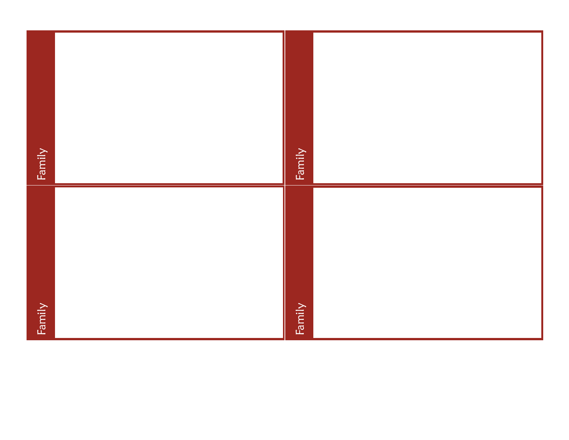| Family | Family |  |
|--------|--------|--|
| Family | Family |  |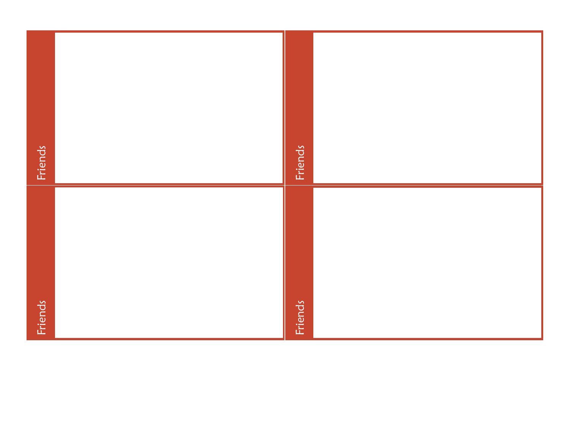| Friends | Friends |  |
|---------|---------|--|
| Friends | Friends |  |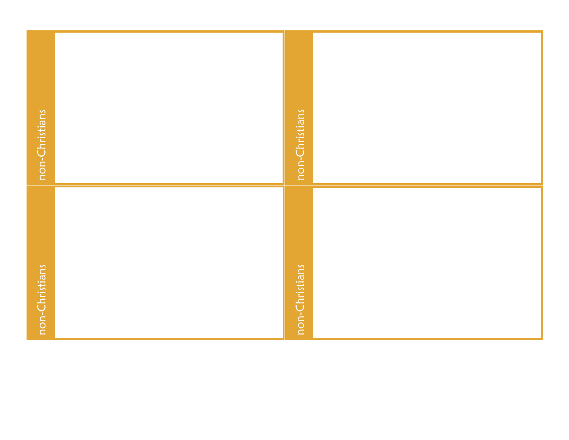| non-Christians | non-Christians |  |
|----------------|----------------|--|
| non-Christians | non-Christians |  |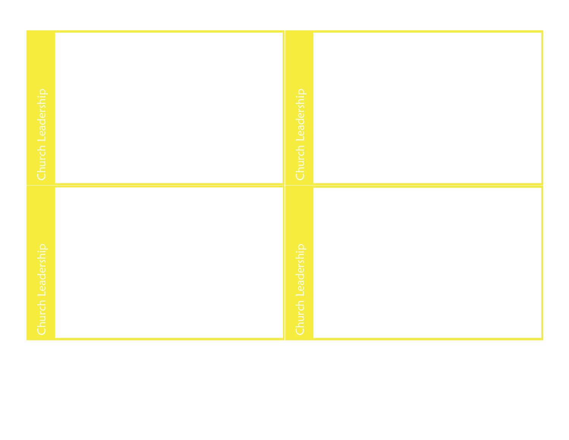| Church Leadership | Church Leadership |  |
|-------------------|-------------------|--|
| Church Leadership | Church Leadership |  |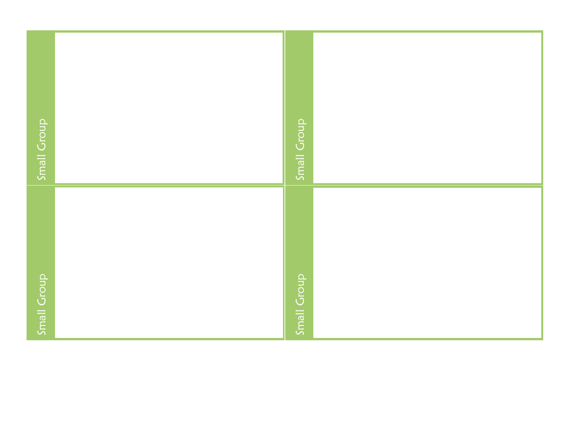| <b>Small Group</b> | Small Group        |  |
|--------------------|--------------------|--|
| <b>Small Group</b> | <b>Small Group</b> |  |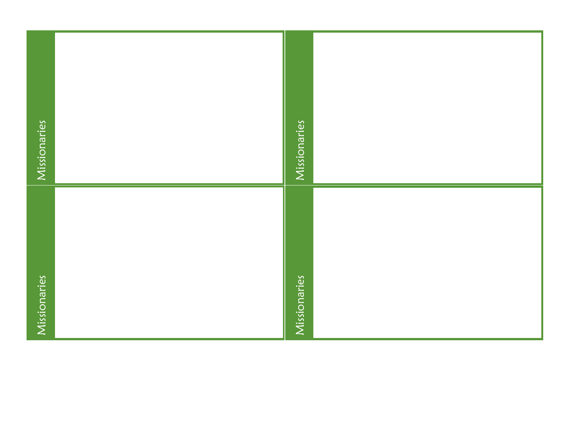| Missionaries | Missionaries |  |
|--------------|--------------|--|
| Missionaries | Missionaries |  |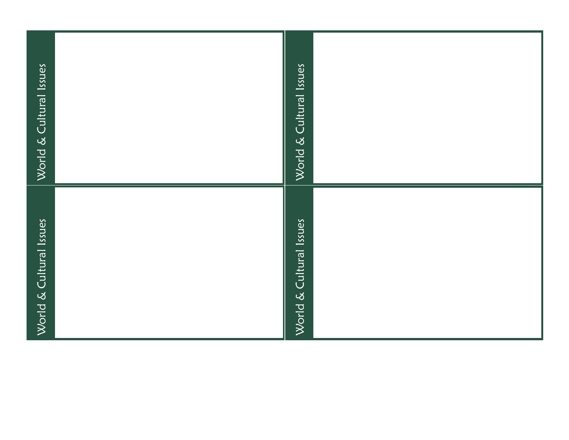| World & Cultural Issues | World & Cultural Issues |  |
|-------------------------|-------------------------|--|
| World & Cultural Issues | World & Cultural Issues |  |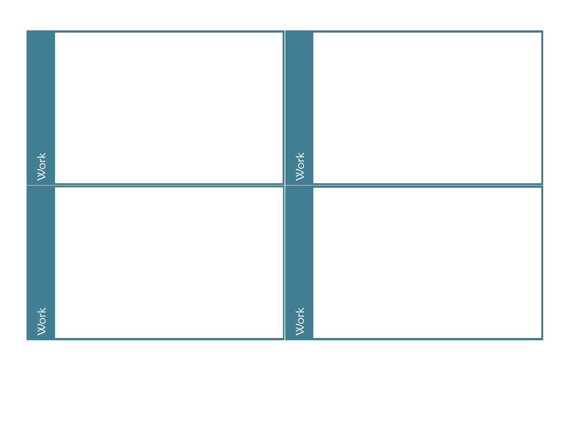| Work | Work |  |
|------|------|--|
| Work | Work |  |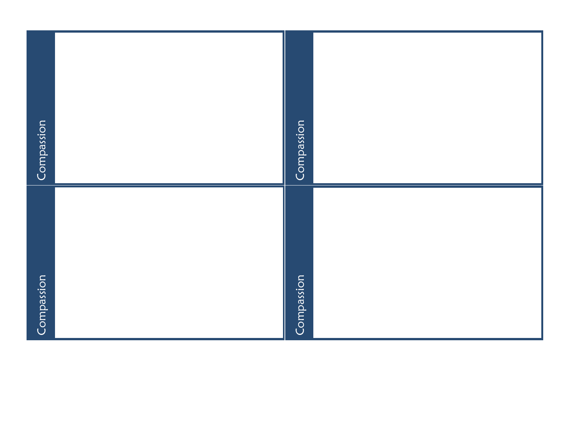| Compassion | Compassion |  |
|------------|------------|--|
| Compassion | Compassion |  |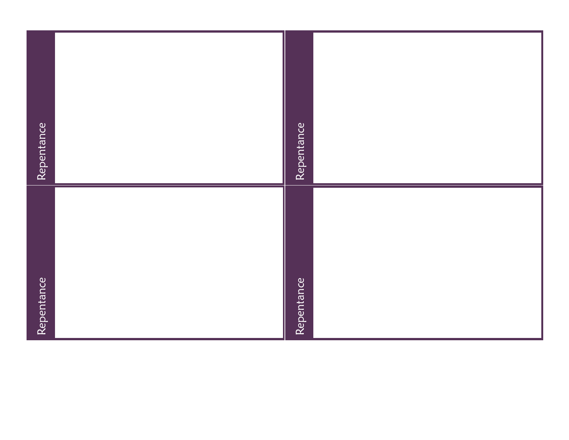| Repentance | Repentance |
|------------|------------|
| Repentance | Repentance |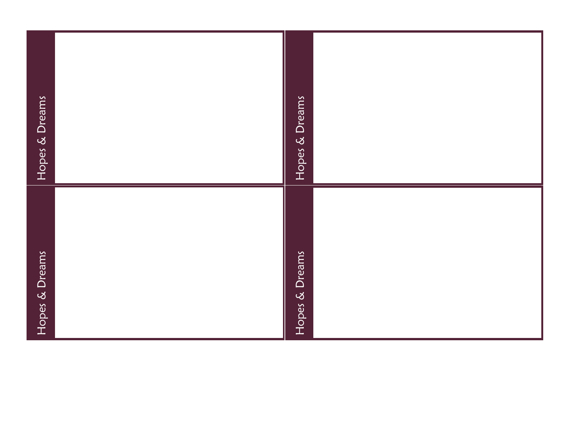| Hopes & Dreams | Hopes & Dreams |
|----------------|----------------|
| Hopes & Dreams | Hopes & Dreams |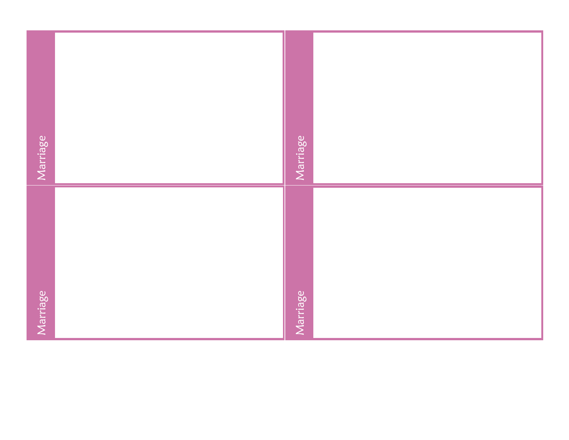| Marriage | Marriage |  |
|----------|----------|--|
| Marriage | Marriage |  |